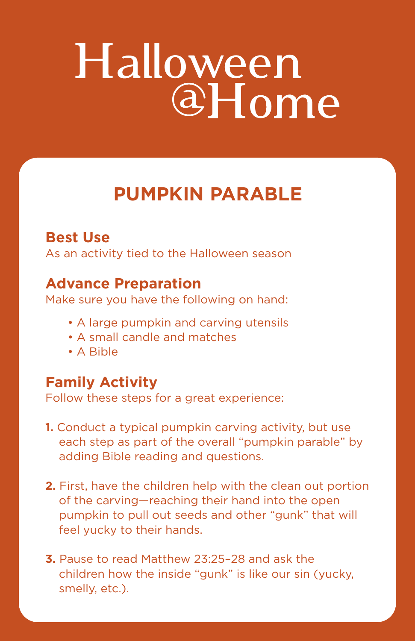# Halloween<br>@Home

## **PUMPKIN PARABLE**

#### **Best Use**

As an activity tied to the Halloween season

#### **Advance Preparation**

Make sure you have the following on hand:

- A large pumpkin and carving utensils
- A small candle and matches
- A Bible

### **Family Activity**

Follow these steps for a great experience:

- **1.** Conduct a typical pumpkin carving activity, but use each step as part of the overall "pumpkin parable" by adding Bible reading and questions.
- **2.** First, have the children help with the clean out portion of the carving—reaching their hand into the open pumpkin to pull out seeds and other "gunk" that will feel yucky to their hands.
- **3.** Pause to read Matthew 23:25–28 and ask the children how the inside "gunk" is like our sin (yucky, smelly, etc.).